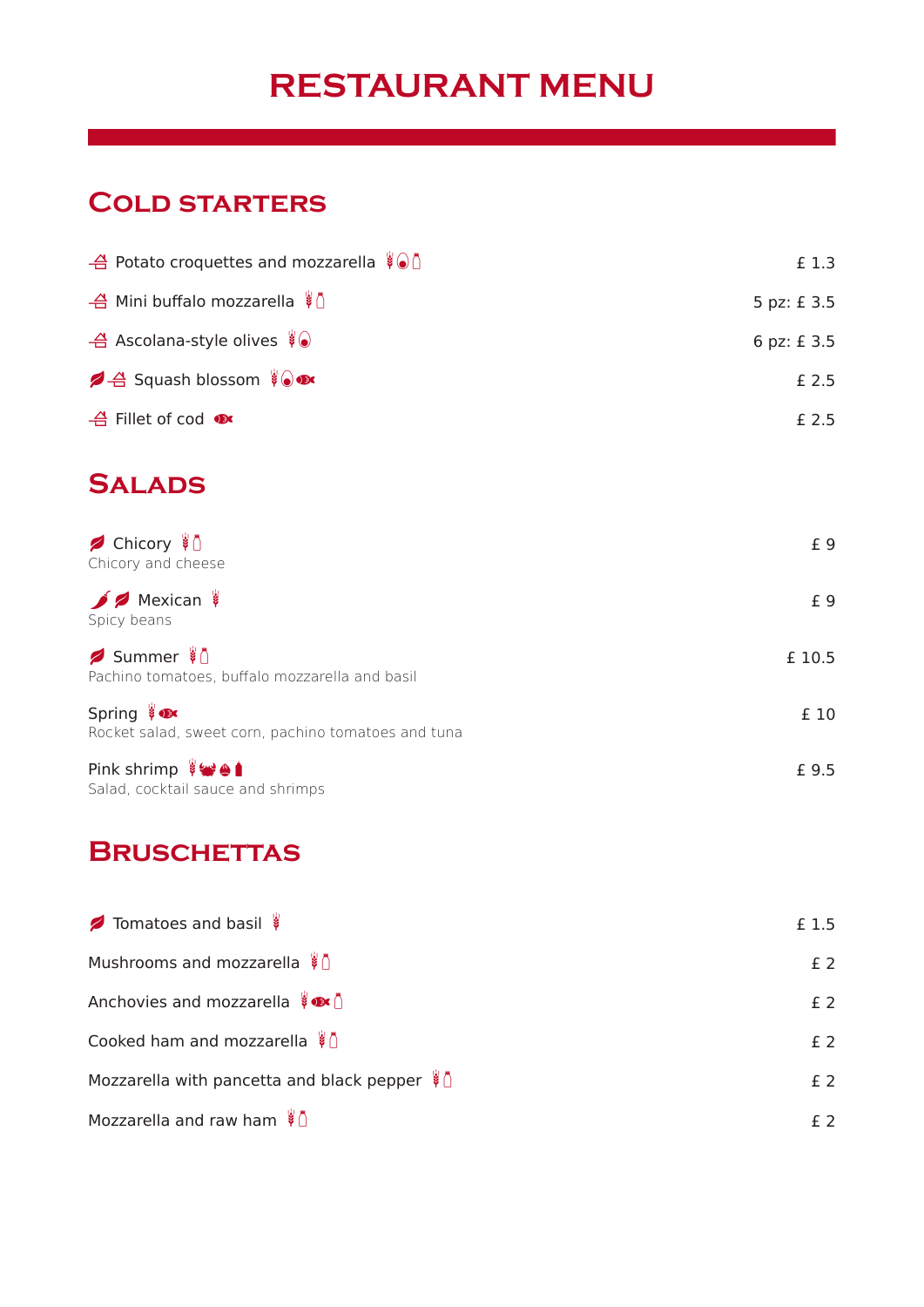# **RESTAURANT MENU**

#### **Cold starters**

| $\frac{4}{10}$ Potato croquettes and mozzarella $\sqrt[8]{\ }$ | £ 1.3      |
|----------------------------------------------------------------|------------|
| – Mini buffalo mozzarella $\frac{1}{2}$ $\frac{1}{2}$          | 5 pz: £3.5 |
| $\triangleq$ Ascolana-style olives $\sqrt[8]{\bullet}$         | 6 pz: £3.5 |
| <b>4</b> Squash blossom ( )                                    | £ 2.5      |
| $\triangleq$ Fillet of cod $\bullet$                           | £ 2.5      |

## **Salads**

| <b>B</b> Chicory $\sqrt[8]{ }$<br>Chicory and cheese                    | £ 9    |
|-------------------------------------------------------------------------|--------|
| $\bigcirc$ Mexican<br>Spicy beans                                       | £9     |
| Summer $\sqrt[8]{ }$<br>Pachino tomatoes, buffalo mozzarella and basil  | £ 10.5 |
| Spring $\bullet$<br>Rocket salad, sweet corn, pachino tomatoes and tuna | £ 10   |
| Pink shrimp ∛₩+<br>Salad, cocktail sauce and shrimps                    | £ 9.5  |

## **Bruschettas**

| Tomatoes and basil                                             | £ 1.5          |  |
|----------------------------------------------------------------|----------------|--|
| Mushrooms and mozzarella $\sqrt[3]{ }$                         | f <sub>2</sub> |  |
| Anchovies and mozzarella $\overline{\mathbf{F}}$               | $£$ 2          |  |
| Cooked ham and mozzarella $\overline{\mathcal{L}}$             | f <sub>2</sub> |  |
| Mozzarella with pancetta and black pepper $\overline{\bullet}$ | $f$ 2          |  |
| Mozzarella and raw ham $\sqrt[8]{ }$                           | f 2            |  |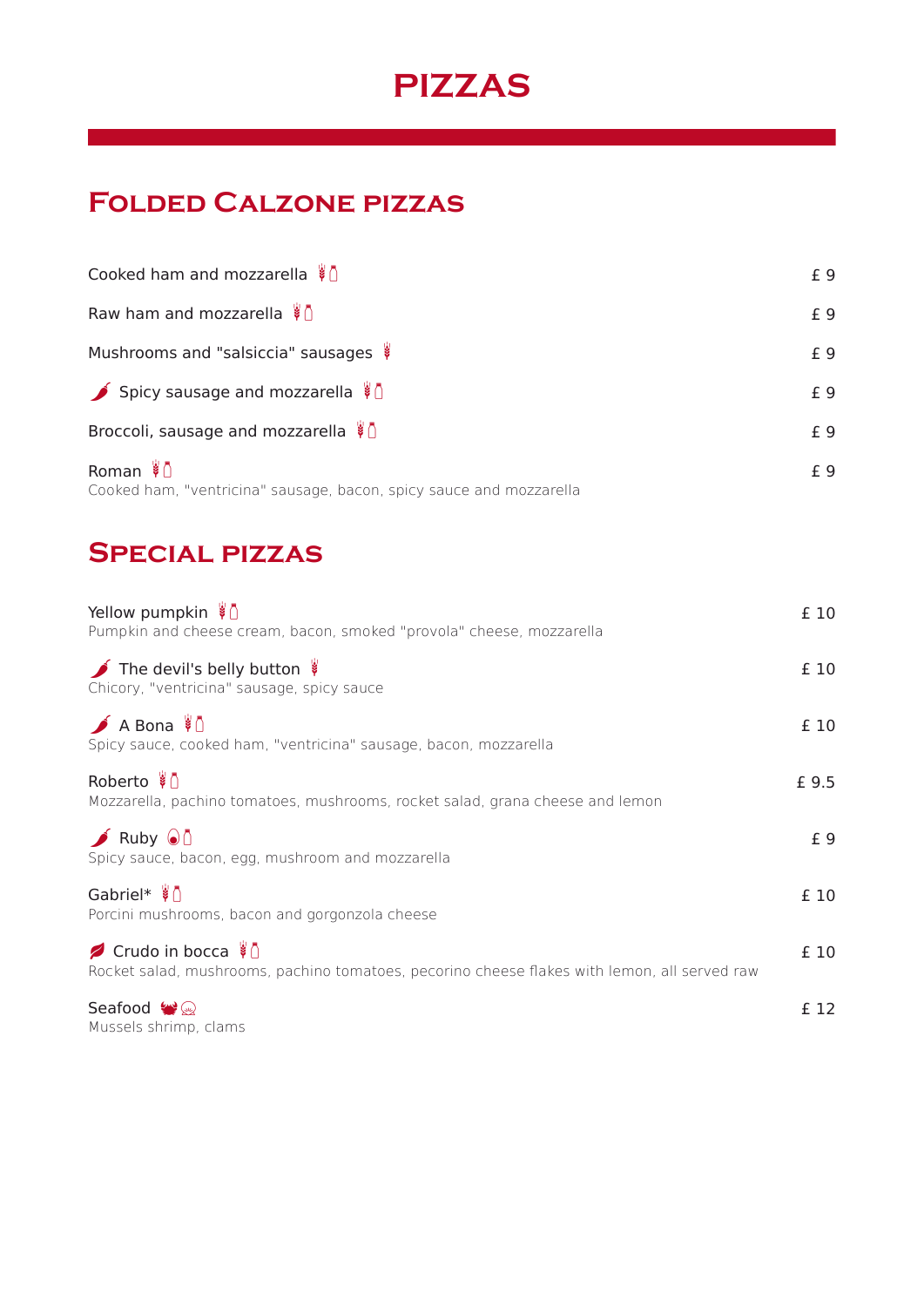# **PIZZAS**

# **Folded Calzone pizzas**

| Cooked ham and mozzarella $\sqrt[8]{ }$                                                             | £ 9 |
|-----------------------------------------------------------------------------------------------------|-----|
| Raw ham and mozzarella $\frac{1}{2}$                                                                | £ 9 |
| Mushrooms and "salsiccia" sausages                                                                  | £ 9 |
| Spicy sausage and mozzarella $\sqrt[8]{ }$                                                          | £ 9 |
| Broccoli, sausage and mozzarella $\overline{\bullet}$                                               | £ 9 |
| Roman $\sqrt[3]{\mathbb{A}}$<br>Cooked ham, "ventricina" sausage, bacon, spicy sauce and mozzarella | £ 9 |

#### **Special pizzas**

| Yellow pumpkin $\overline{\mathcal{G}}$<br>Pumpkin and cheese cream, bacon, smoked "provola" cheese, mozzarella                | £ 10  |
|--------------------------------------------------------------------------------------------------------------------------------|-------|
| The devil's belly button<br>Chicory, "ventricina" sausage, spicy sauce                                                         | £ 10  |
| $\bigwedge$ A Bona $\bigwedge$<br>Spicy sauce, cooked ham, "ventricina" sausage, bacon, mozzarella                             | £ 10  |
| Roberto $\sqrt[3]{ }$<br>Mozzarella, pachino tomatoes, mushrooms, rocket salad, grana cheese and lemon                         | £ 9.5 |
| Ruby $\odot$<br>Spicy sauce, bacon, egg, mushroom and mozzarella                                                               | £ 9   |
| Gabriel* $\sqrt[8]{ }$<br>Porcini mushrooms, bacon and gorgonzola cheese                                                       | £ 10  |
| ◯ Crudo in bocca $\sqrt[8]{ }$<br>Rocket salad, mushrooms, pachino tomatoes, pecorino cheese flakes with lemon, all served raw | £ 10  |
| Seafood $\mathbf{Q}$<br>Mussels shrimp, clams                                                                                  | £ 12  |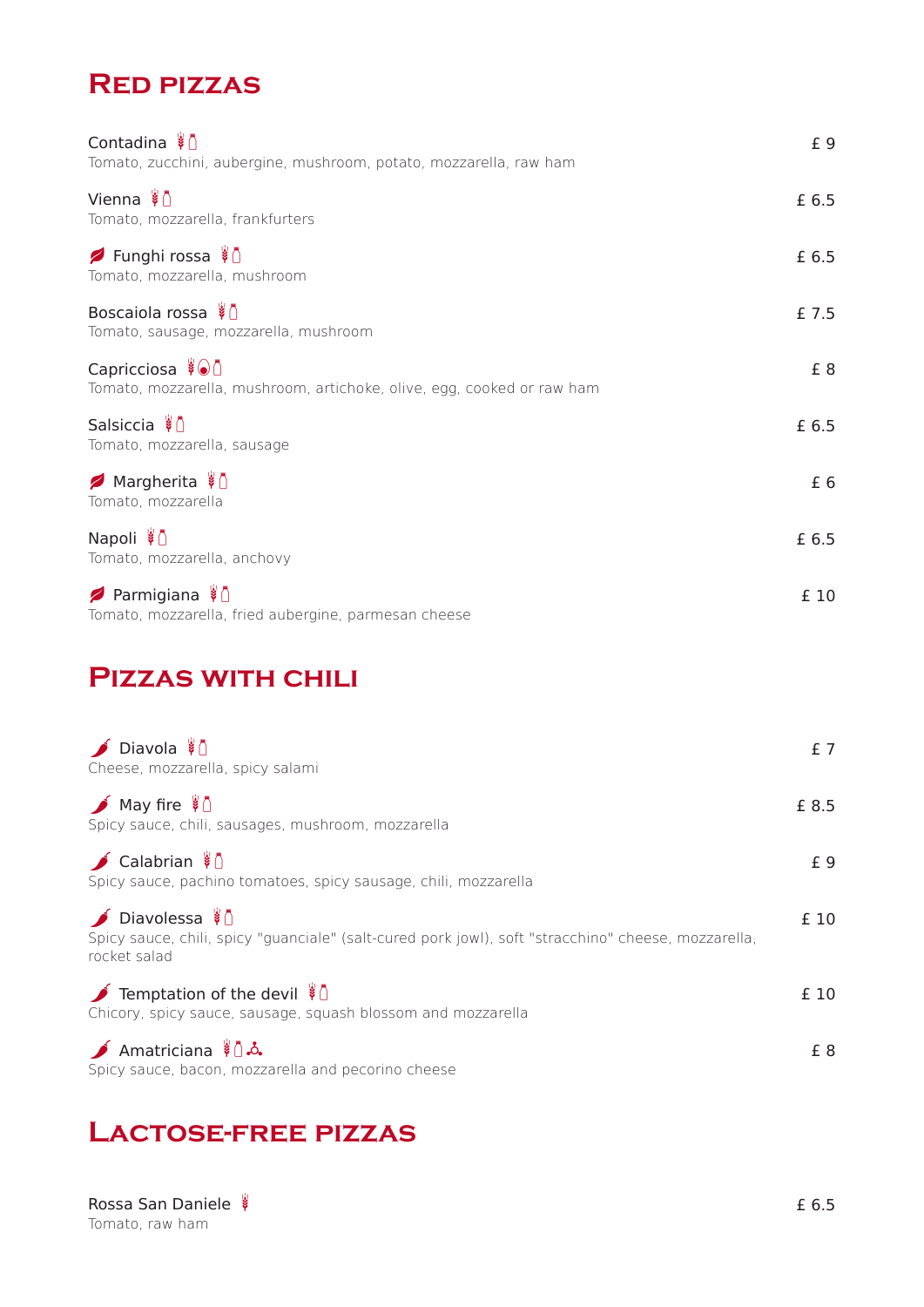### **Red pizzas**

| Contadina ∛0<br>Tomato, zucchini, aubergine, mushroom, potato, mozzarella, raw ham        | £9    |
|-------------------------------------------------------------------------------------------|-------|
| Vienna $\sqrt[3]{ } \cap$<br>Tomato, mozzarella, frankfurters                             | £ 6.5 |
| Funghi rossa ∛0<br>Tomato, mozzarella, mushroom                                           | £ 6.5 |
| Boscaiola rossa $\sqrt[3]{ }$<br>Tomato, sausage, mozzarella, mushroom                    | £ 7.5 |
| Capricciosa ∛⊙0<br>Tomato, mozzarella, mushroom, artichoke, olive, egg, cooked or raw ham | £8    |
| Salsiccia $\sqrt[3]{ }$<br>Tomato, mozzarella, sausage                                    | £ 6.5 |
| Ø Margherita ∛D<br>Tomato, mozzarella                                                     | £6    |
| Napoli ∛0<br>Tomato, mozzarella, anchovy                                                  | £ 6.5 |
| Parmigiana \$<br>Tomato, mozzarella, fried aubergine, parmesan cheese                     | £ 10  |

### **Pizzas with chili**

| $\bigcirc$ Diavola $\bigcirc$<br>Cheese, mozzarella, spicy salami                                                                     | £7    |
|---------------------------------------------------------------------------------------------------------------------------------------|-------|
| $\bigwedge$ May fire $\bigwedge$<br>Spicy sauce, chili, sausages, mushroom, mozzarella                                                | £ 8.5 |
| $\bigcirc$ Calabrian $\overline{\mathcal{A}}$<br>Spicy sauce, pachino tomatoes, spicy sausage, chili, mozzarella                      | £9    |
| ▶ Diavolessa V<br>Spicy sauce, chili, spicy "quanciale" (salt-cured pork jowl), soft "stracchino" cheese, mozzarella,<br>rocket salad | £ 10  |
| Temptation of the devil $\sqrt[3]{ }$<br>Chicory, spicy sauce, sausage, squash blossom and mozzarella                                 | £ 10  |
| Amatriciana $\sqrt[3]{\Delta}$<br>Spicy sauce, bacon, mozzarella and pecorino cheese                                                  | £ 8   |

#### **Lactose-free pizzas**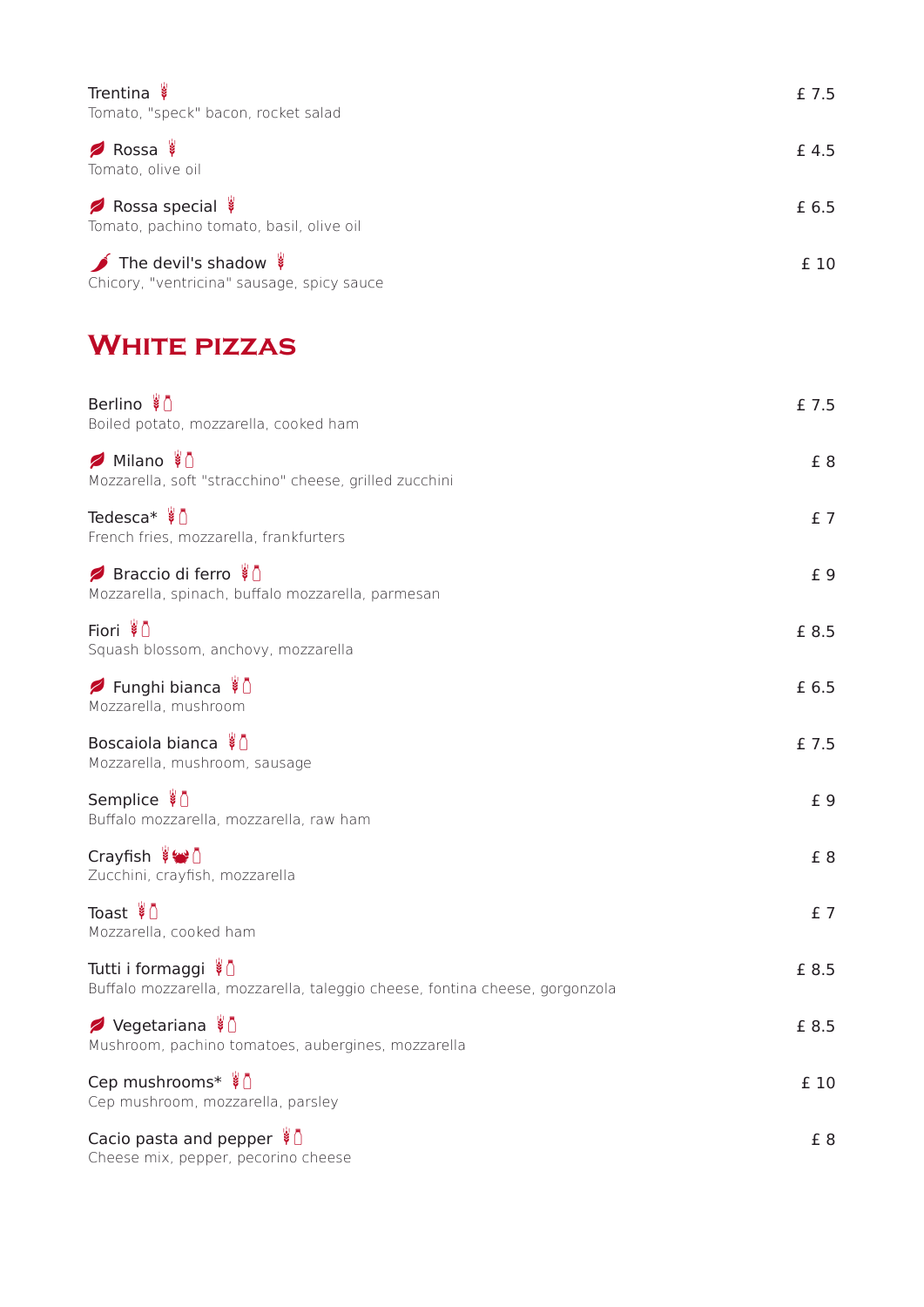| Trentina<br>Tomato, "speck" bacon, rocket salad                         | £ 7.5 |
|-------------------------------------------------------------------------|-------|
| Rossa<br>Tomato, olive oil                                              | £ 4.5 |
| Rossa special<br>Tomato, pachino tomato, basil, olive oil               | £ 6.5 |
| The devil's shadow<br>Chicory, "ventricina" sausage, spicy sauce        | £ 10  |
| <b>WHITE PIZZAS</b>                                                     |       |
| Berlino <i>\</i> 1<br>Boiled potato, mozzarella, cooked ham             | £ 7.5 |
| Ø Milano \in<br>Mozzarella, soft "stracchino" cheese, grilled zucchini  | £8    |
| Tedesca* $\sqrt[3]{ } \cap$<br>French fries, mozzarella, frankfurters   | £7    |
| Braccio di ferro ∛<br>Mozzarella, spinach, buffalo mozzarella, parmesan | £ 9   |
| Fiori ∛ ∩<br>Squash blossom, anchovy, mozzarella                        | £ 8.5 |
| Bunghi bianca \ 0<br>Mozzarella, mushroom                               | £ 6.5 |
| Boscaiola bianca $\sqrt[3]{ }$<br>Mozzarella, mushroom, sausage         | £ 7.5 |

| Semplice \$1                            | t d |
|-----------------------------------------|-----|
| Buffalo mozzarella, mozzarella, raw ham |     |

Cheese mix, pepper, pecorino cheese

| Crayfish ∛→ 0<br>Zucchini, crayfish, mozzarella                                                    | £8    |
|----------------------------------------------------------------------------------------------------|-------|
| Toast ∛ ∩<br>Mozzarella, cooked ham                                                                | $f$ 7 |
| Tutti i formaggi ∛0<br>Buffalo mozzarella, mozzarella, taleggio cheese, fontina cheese, gorgonzola | £ 8.5 |
| Ø Vegetariana ∛D<br>Mushroom, pachino tomatoes, aubergines, mozzarella                             | £ 8.5 |
| Cep mushrooms* \<br>Cep mushroom, mozzarella, parsley                                              | £ 10  |
| Cacio pasta and pepper $\frac{3}{2}$                                                               | £8    |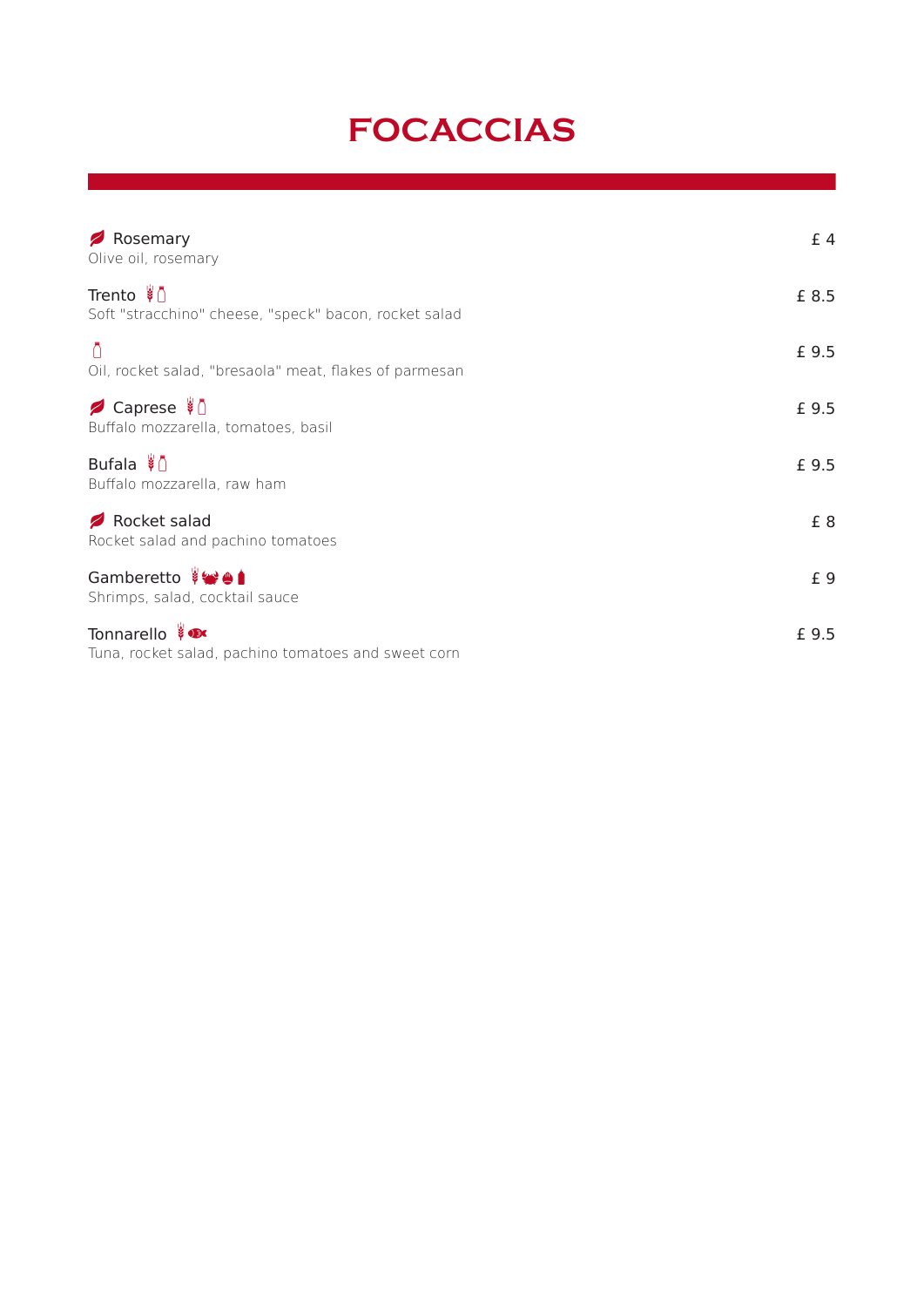# **FOCACCIAS**

| Rosemary<br>Olive oil, rosemary                                      | £4    |
|----------------------------------------------------------------------|-------|
| Trento ∛ 0<br>Soft "stracchino" cheese, "speck" bacon, rocket salad  | £ 8.5 |
| Ō<br>Oil, rocket salad, "bresaola" meat, flakes of parmesan          | £ 9.5 |
| <b>/</b> Caprese ∛<br>Buffalo mozzarella, tomatoes, basil            | £ 9.5 |
| Bufala $\sqrt[3]{\ }$<br>Buffalo mozzarella, raw ham                 | £ 9.5 |
| Rocket salad<br>Rocket salad and pachino tomatoes                    | £8    |
| Gamberetto ###<br>Shrimps, salad, cocktail sauce                     | £ 9   |
| Tonnarello ve<br>Tuna, rocket salad, pachino tomatoes and sweet corn | £ 9.5 |